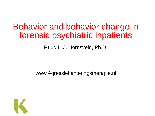#### Behavior and behavior change in forensic psychiatric inpatients

Ruud H.J. Hornsveld, Ph.D.

www.Agressiehanteringstherapie.nl

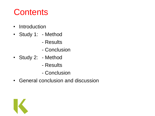# **Contents**

- Introduction
- Study 1: Method
	- Results
	- Conclusion
- Study 2: Method
	- Results
	- Conclusion
- General conclusion and discussion

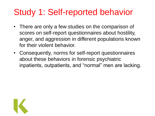# Study 1: Self-reported behavior

- There are only a few studies on the comparison of scores on self-report questionnaires about hostility, anger, and aggression in different populations known for their violent behavior.
- Consequently, norms for self-report questionnaires about these behaviors in forensic psychiatric inpatients, outpatients, and "normal" men are lacking.

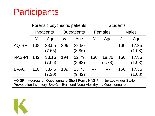## **Participants**

|               | Forensic psychiatric patients |                 |             |                 | <b>Students</b> |                 |              |                 |
|---------------|-------------------------------|-----------------|-------------|-----------------|-----------------|-----------------|--------------|-----------------|
|               | Inpatients                    |                 | Outpatients |                 | Females         |                 | <b>Males</b> |                 |
|               | $\bm N$                       | Age             | $\bm{N}$    | Age             | $\bm{N}$        | Age             | $\bm{N}$     | Age             |
| AQ-SF         | 138                           | 33.55<br>(7.65) | 206         | 22.50<br>(8.86) |                 |                 | 160          | 17.35<br>(1.08) |
| <b>NAS-PI</b> | 142                           | 33.16<br>(7.65) | 194         | 22.79<br>(8.93) | 160             | 18.36<br>(1.78) | 160          | 17.35<br>(1.08) |
| <b>BVAQ</b>   | 110                           | 33.45<br>7.30)  | 139         | 23.73<br>(9.42) |                 |                 | 160          | 17.35<br>(1.08) |

AQ-SF = Aggression Questionnaire-Short-Form, NAS-PI = Novaco Anger Scale-Provocation Inventory, BVAQ = Bermond-Vorst Alexithymia Questionnaire

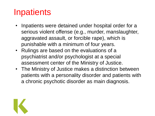# **Inpatients**

- Inpatients were detained under hospital order for a serious violent offense (e.g., murder, manslaughter, aggravated assault, or forcible rape), which is punishable with a minimum of four years.
- Rulings are based on the evaluations of a psychiatrist and/or psychologist at a special assessment center of the Ministry of Justice.
- The Ministry of Justice makes a distinction between patients with a personality disorder and patients with a chronic psychotic disorder as main diagnosis.

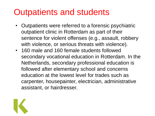## Outpatients and students

- Outpatients were referred to a forensic psychiatric outpatient clinic in Rotterdam as part of their sentence for violent offenses (e.g., assault, robbery with violence, or serious threats with violence).
- 160 male and 160 female students followed secondary vocational education in Rotterdam. In the Netherlands, secondary professional education is followed after elementary school and concerns education at the lowest level for trades such as carpenter, housepainter, electrician, administrative assistant, or hairdresser.

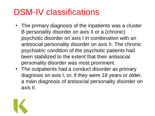## DSM-IV classifications

- The primary diagnosis of the inpatients was a cluster B personality disorder on axis II or a (chronic) psychotic disorder on axis I in combination with an antisocial personality disorder on axis II. The chronic psychiatric condition of the psychotic patients had been stabilized to the extent that their antisocial personality disorder was most prominent.
- The outpatients had a conduct disorder as primary diagnosis on axis I, or, if they were 18 years or older, a main diagnosis of antisocial personality disorder on axis II.

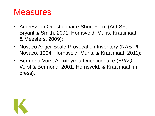## **Measures**

- Aggression Questionnaire-Short Form (AQ-SF; Bryant & Smith, 2001; Hornsveld, Muris, Kraaimaat, & Meesters, 2009);
- Novaco Anger Scale-Provocation Inventory (NAS-PI; Novaco, 1994; Hornsveld, Muris, & Kraaimaat, 2011);
- Bermond-Vorst Alexithymia Questionnaire (BVAQ; Vorst & Bermond, 2001; Hornsveld, & Kraaimaat, in press).

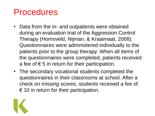### Procedures

- Data from the in- and outpatients were obtained during an evaluation trial of the Aggression Control Therapy (Hornsveld, Nijman, & Kraaimaat, 2008). Questionnaires were administered individually to the patients prior to the group therapy. When all items of the questionnaires were completed, patients received a fee of  $\epsilon$  5 in return for their participation.
- The secondary vocational students completed the questionnaires in their classrooms at school. After a check on missing scores, students received a fee of  $\epsilon$  10 in return for their participation.

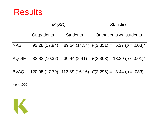

|             | M(SD)              |                 | <b>Statistics</b>                                              |  |  |
|-------------|--------------------|-----------------|----------------------------------------------------------------|--|--|
|             | <b>Outpatients</b> | <b>Students</b> | Outpatients vs. students                                       |  |  |
| <b>NAS</b>  | 92.28 (17.94)      |                 | 89.54 (14.34) $F(2,351) = 5.27$ ( $p = .003$ )*                |  |  |
| AQ-SF       | 32.82 (10.32)      |                 | 30.44 (8.41) $F(2,363) = 13.29 (p < .001)^{*}$                 |  |  |
| <b>BVAQ</b> |                    |                 | 120.08 (17.79) 113.89 (16.16) $F(2,296) = 3.44$ ( $p = .033$ ) |  |  |

 $\frac{1}{2} p < .006$ 

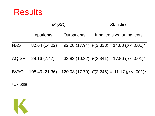

|             | M(SD)          |                    | <b>Statistics</b>                                 |  |  |
|-------------|----------------|--------------------|---------------------------------------------------|--|--|
|             | Inpatients     | <b>Outpatients</b> | Inpatients vs. outpatients                        |  |  |
| <b>NAS</b>  | 82.64 (14.02)  |                    | 92.28 (17.94) $F(2,333) = 14.88$ ( $p < .001$ )*  |  |  |
| AQ-SF       | 28.16 (7.47)   |                    | 32.82 (10.32) $F(2,341) = 17.86$ ( $p < .001$ )*  |  |  |
| <b>BVAQ</b> | 108.49 (21.36) |                    | 120.08 (17.79) $F(2,246) = 11.17$ ( $p < .001$ )* |  |  |

 $\frac{1}{2} p < .006$ 

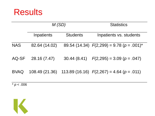

|             | M(SD)          |                 | <b>Statistics</b>                               |
|-------------|----------------|-----------------|-------------------------------------------------|
|             | Inpatients     | <b>Students</b> | Inpatients vs. students                         |
| <b>NAS</b>  | 82.64 (14.02)  |                 | 89.54 (14.34) $F(2,299) = 9.78$ ( $p = .001$ )* |
| AQ-SF       | 28.16 (7.47)   |                 | 30.44 (8.41) $F(2,295) = 3.09$ ( $p = .047$ )   |
| <b>BVAQ</b> | 108.49 (21.36) |                 | 113.89 (16.16) $F(2,267) = 4.64$ ( $p = .011$ ) |

 $\frac{1}{2} p < .006$ 

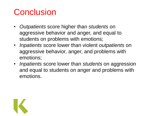# **Conclusion**

- *Outpatients* score higher than *students* on aggressive behavior and anger, and equal to students on problems with emotions;
- *Inpatients* score lower than violent *outpatients* on aggressive behavior, anger, and problems with emotions;
- *Inpatients* score lower than *students* on aggression and equal to students on anger and problems with emotions.

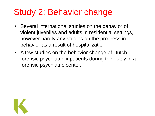# Study 2: Behavior change

- Several international studies on the behavior of violent juveniles and adults in residential settings, however hardly any studies on the progress in behavior as a result of hospitalization.
- A few studies on the behavior change of Dutch forensic psychiatric inpatients during their stay in a forensic psychiatric center.

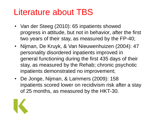## Literature about TBS

- Van der Steeg (2010): 65 inpatients showed progress in attitude, but not in behavior, after the first two years of their stay, as measured by the FP-40;
- Nijman, De Kruyk, & Van Nieuwenhuizen (2004): 47 personality disordered inpatients improved in general functioning during the first 435 days of their stay, as measured by the Rehab; chronic psychotic inpatients demonstrated no improvement;
- De Jonge, Nijman, & Lammers (2009): 158 inpatients scored lower on recidivism risk after a stay of 25 months, as measured by the HKT-30.

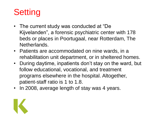# **Setting**

- The current study was conducted at "De Kijvelanden", a forensic psychiatric center with 178 beds or places in Poortugaal, near Rotterdam, The Netherlands.
- Patients are accommodated on nine wards, in a rehabilitation unit department, or in sheltered homes.
- During daytime, inpatients don"t stay on the ward, but follow educational, vocational, and treatment programs elsewhere in the hospital. Altogether, patient-staff ratio is 1 to 1.8.
- In 2008, average length of stay was 4 years.

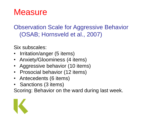## **Measure**

#### Observation Scale for Aggressive Behavior (OSAB; Hornsveld et al., 2007)

Six subscales:

- Irritation/anger (5 items)
- Anxiety/Gloominess (4 items)
- Aggressive behavior (10 items)
- Prosocial behavior (12 items)
- Antecedents (6 items)
- Sanctions (3 items)

Scoring: Behavior on the ward during last week.

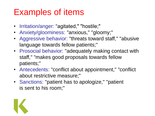## Examples of items

- Irritation/anger: "agitated," "hostile;"
- Anxiety/gloominess: "anxious," "gloomy;"
- Aggressive behavior: "threats toward staff," "abusive language towards fellow patients;"
- Prosocial behavior: "adequately making contact with staff," "makes good proposals towards fellow patients;"
- Antecedents: "conflict about appointment," "conflict about restrictive measure;"
- Sanctions: "patient has to apologize," "patient is sent to his room;"

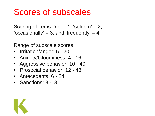## Scores of subscales

Scoring of items: 'no' = 1, 'seldom' = 2, 'occasionally' = 3, and 'frequently' = 4.

Range of subscale scores:

- Irritation/anger: 5 20
- Anxiety/Gloominess: 4 16
- Aggressive behavior: 10 40
- Prosocial behavior: 12 48
- Antecedents: 6 24
- Sanctions: 3 -13

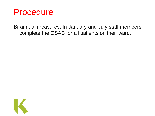#### Procedure

Bi-annual measures: In January and July staff members complete the OSAB for all patients on their ward.

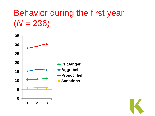## Behavior during the first year  $(N = 236)$



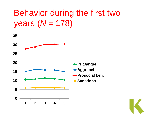# Behavior during the first two years (*N* = 178)



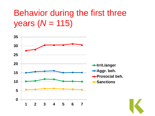# Behavior during the first three years (*N* = 115)

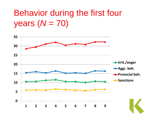# Behavior during the first four years (*N* = 70)

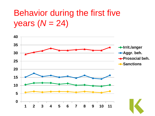# Behavior during the first five years (*N* = 24)

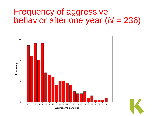#### Frequency of aggressive behavior after one year (*N* = 236)



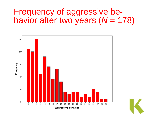#### Frequency of aggressive behavior after two years (*N* = 178)



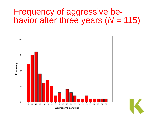#### Frequency of aggressive behavior after three years (*N* = 115)



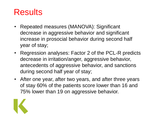## Results

- Repeated measures (MANOVA): Significant decrease in aggressive behavior and significant increase in prosocial behavior during second half year of stay;
- Regression analyses: Factor 2 of the PCL-R predicts decrease in irritation/anger, aggressive behavior, antecedents of aggressive behavior, and sanctions during second half year of stay;
- After one year, after two years, and after three years of stay 60% of the patients score lower than 16 and 75% lower than 19 on aggressive behavior.

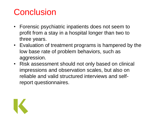# **Conclusion**

- Forensic psychiatric inpatients does not seem to profit from a stay in a hospital longer than two to three years.
- Evaluation of treatment programs is hampered by the low base rate of problem behaviors, such as aggression.
- Risk assessment should not only based on clinical impressions and observation scales, but also on reliable and valid structured interviews and selfreport questionnaires.